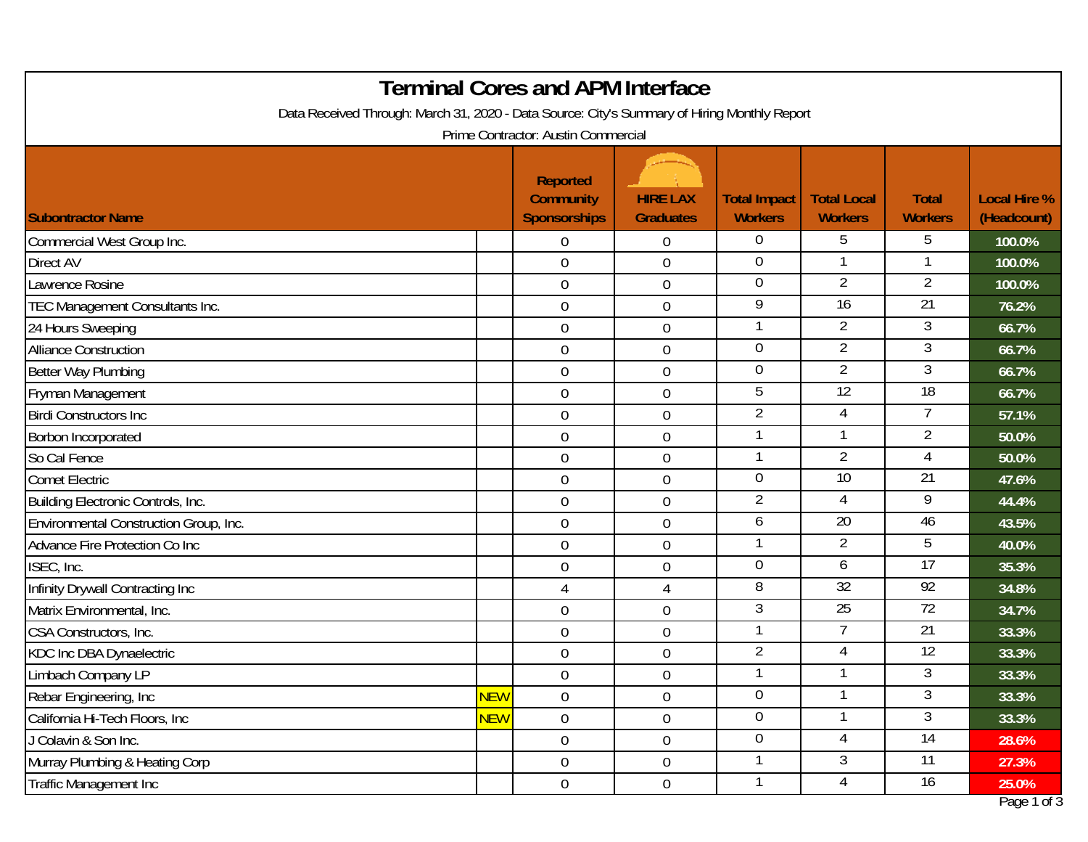| <b>Terminal Cores and APM Interface</b><br>Data Received Through: March 31, 2020 - Data Source: City's Summary of Hiring Monthly Report<br>Prime Contractor: Austin Commercial |            |                  |                  |                          |                 |                 |             |  |
|--------------------------------------------------------------------------------------------------------------------------------------------------------------------------------|------------|------------------|------------------|--------------------------|-----------------|-----------------|-------------|--|
|                                                                                                                                                                                |            |                  |                  |                          |                 |                 |             |  |
| Commercial West Group Inc.                                                                                                                                                     |            | $\overline{0}$   | 0                | $\overline{0}$           | 5               | 5               | 100.0%      |  |
| <b>Direct AV</b>                                                                                                                                                               |            | $\mathbf 0$      | $\boldsymbol{0}$ | $\boldsymbol{0}$         |                 |                 | 100.0%      |  |
| Lawrence Rosine                                                                                                                                                                |            | $\theta$         | $\boldsymbol{0}$ | $\overline{0}$           | 2               | 2               | 100.0%      |  |
| TEC Management Consultants Inc.                                                                                                                                                |            | $\mathbf 0$      | $\boldsymbol{0}$ | 9                        | 16              | $\overline{21}$ | 76.2%       |  |
| 24 Hours Sweeping                                                                                                                                                              |            | $\overline{0}$   | $\mathbf 0$      | -1                       | $\overline{2}$  | 3               | 66.7%       |  |
| <b>Alliance Construction</b>                                                                                                                                                   |            | $\mathbf 0$      | $\mathbf 0$      | $\mathbf 0$              | $\overline{2}$  | 3               | 66.7%       |  |
| Better Way Plumbing                                                                                                                                                            |            | $\overline{0}$   | $\mathbf 0$      | $\overline{0}$           | $\overline{2}$  | 3               | 66.7%       |  |
| Fryman Management                                                                                                                                                              |            | $\mathbf 0$      | $\mathbf 0$      | 5                        | 12              | 18              | 66.7%       |  |
| <b>Birdi Constructors Inc</b>                                                                                                                                                  |            | $\overline{0}$   | $\boldsymbol{0}$ | $\overline{2}$           | 4               | 7               | 57.1%       |  |
| Borbon Incorporated                                                                                                                                                            |            | $\overline{0}$   | $\mathbf 0$      | $\mathbf{1}$             |                 | $\overline{2}$  | 50.0%       |  |
| So Cal Fence                                                                                                                                                                   |            | $\mathbf 0$      | $\boldsymbol{0}$ | $\overline{\phantom{a}}$ | 2               | 4               | 50.0%       |  |
| <b>Comet Electric</b>                                                                                                                                                          |            | $\mathbf 0$      | $\boldsymbol{0}$ | $\mathbf 0$              | 10              | $\overline{21}$ | 47.6%       |  |
| Building Electronic Controls, Inc.                                                                                                                                             |            | $\overline{0}$   | $\mathbf 0$      | $\overline{2}$           | 4               | 9               | 44.4%       |  |
| Environmental Construction Group, Inc.                                                                                                                                         |            | $\boldsymbol{0}$ | $\boldsymbol{0}$ | 6                        | 20              | 46              | 43.5%       |  |
| Advance Fire Protection Co Inc                                                                                                                                                 |            | $\overline{0}$   | $\boldsymbol{0}$ | $\mathbf 1$              | $\overline{2}$  | 5               | 40.0%       |  |
| ISEC, Inc.                                                                                                                                                                     |            | $\mathbf 0$      | $\mathbf 0$      | $\overline{0}$           | 6               | $\overline{17}$ | 35.3%       |  |
| Infinity Drywall Contracting Inc                                                                                                                                               |            | 4                | 4                | 8                        | 32              | $\overline{92}$ | 34.8%       |  |
| Matrix Environmental, Inc.                                                                                                                                                     |            | $\mathbf 0$      | $\boldsymbol{0}$ | 3                        | $\overline{25}$ | $\overline{72}$ | 34.7%       |  |
| CSA Constructors, Inc.                                                                                                                                                         |            | $\mathbf 0$      | $\boldsymbol{0}$ | $\mathbf 1$              | 7               | 21              | 33.3%       |  |
| <b>KDC Inc DBA Dynaelectric</b>                                                                                                                                                |            | $\mathbf 0$      | $\boldsymbol{0}$ | $\overline{2}$           | 4               | $\overline{12}$ | 33.3%       |  |
| Limbach Company LP                                                                                                                                                             |            | $\overline{0}$   | $\mathbf 0$      | $\overline{1}$           |                 | 3               | 33.3%       |  |
| Rebar Engineering, Inc                                                                                                                                                         | <b>NEW</b> | $\overline{0}$   | $\boldsymbol{0}$ | $\overline{0}$           |                 | $\mathfrak{Z}$  | 33.3%       |  |
| California Hi-Tech Floors, Inc                                                                                                                                                 | <b>NEW</b> | $\overline{0}$   | $\boldsymbol{0}$ | $\overline{0}$           |                 | 3               | 33.3%       |  |
| J Colavin & Son Inc.                                                                                                                                                           |            | $\overline{0}$   | $\boldsymbol{0}$ | $\overline{0}$           | 4               | $\overline{14}$ | 28.6%       |  |
| Murray Plumbing & Heating Corp                                                                                                                                                 |            | $\overline{0}$   | $\boldsymbol{0}$ |                          | 3               | $\overline{11}$ | 27.3%       |  |
| Traffic Management Inc                                                                                                                                                         |            | $\overline{0}$   | $\boldsymbol{0}$ | $\mathbf 1$              | 4               | 16              | 25.0%       |  |
|                                                                                                                                                                                |            |                  |                  |                          |                 |                 | Page 1 of 3 |  |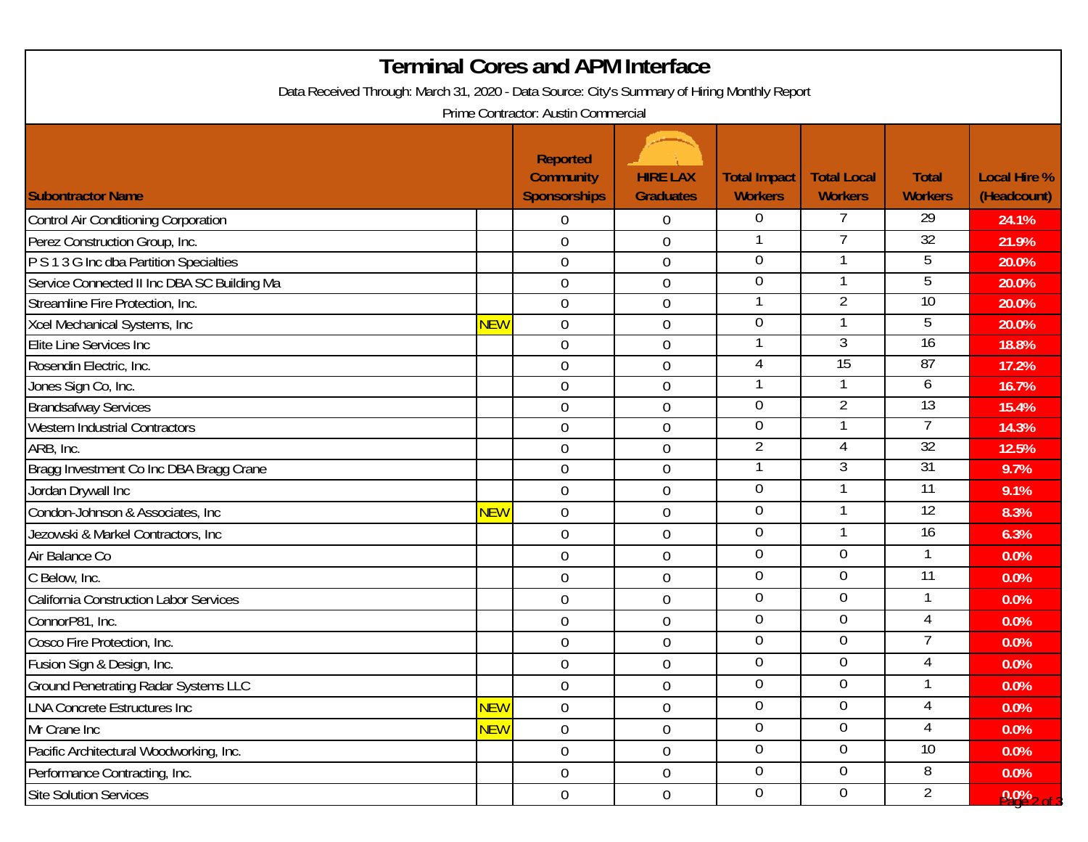| <b>Terminal Cores and APM Interface</b>                                                                                             |            |                  |                  |                  |                |                 |                |  |                          |
|-------------------------------------------------------------------------------------------------------------------------------------|------------|------------------|------------------|------------------|----------------|-----------------|----------------|--|--------------------------|
| Data Received Through: March 31, 2020 - Data Source: City's Summary of Hiring Monthly Report<br>Prime Contractor: Austin Commercial |            |                  |                  |                  |                |                 |                |  |                          |
|                                                                                                                                     |            |                  |                  |                  |                |                 |                |  | <b>Subontractor Name</b> |
| Control Air Conditioning Corporation                                                                                                |            | $\overline{0}$   | $\overline{0}$   | $\overline{0}$   | 7              | 29              | 24.1%          |  |                          |
| Perez Construction Group, Inc.                                                                                                      |            | $\overline{0}$   | $\boldsymbol{0}$ |                  |                | $\overline{32}$ | 21.9%          |  |                          |
| P S 1 3 G Inc dba Partition Specialties                                                                                             |            | $\boldsymbol{0}$ | $\boldsymbol{0}$ | $\Omega$         |                | 5               | 20.0%          |  |                          |
| Service Connected II Inc DBA SC Building Ma                                                                                         |            | $\boldsymbol{0}$ | $\boldsymbol{0}$ | 0                |                | 5               | 20.0%          |  |                          |
| Streamline Fire Protection, Inc.                                                                                                    |            | 0                | $\mathbf 0$      |                  | 2              | 10              | 20.0%          |  |                          |
| Xcel Mechanical Systems, Inc.                                                                                                       | <b>NEW</b> | $\overline{0}$   | $\boldsymbol{0}$ | 0                |                | 5               | 20.0%          |  |                          |
| Elite Line Services Inc                                                                                                             |            | $\boldsymbol{0}$ | $\mathbf 0$      |                  | 3              | 16              | 18.8%          |  |                          |
| Rosendin Electric, Inc.                                                                                                             |            | $\boldsymbol{0}$ | $\boldsymbol{0}$ | 4                | 15             | 87              | 17.2%          |  |                          |
| Jones Sign Co, Inc.                                                                                                                 |            | $\overline{0}$   | 0                |                  |                | 6               | 16.7%          |  |                          |
| <b>Brandsafway Services</b>                                                                                                         |            | $\overline{0}$   | $\boldsymbol{0}$ | $\overline{0}$   | $\overline{2}$ | 13              | 15.4%          |  |                          |
| <b>Western Industrial Contractors</b>                                                                                               |            | $\mathbf 0$      | 0                | 0                |                |                 | 14.3%          |  |                          |
| ARB, Inc.                                                                                                                           |            | $\overline{0}$   | $\boldsymbol{0}$ | $\overline{2}$   | 4              | 32              | 12.5%          |  |                          |
| Bragg Investment Co Inc DBA Bragg Crane                                                                                             |            | $\mathbf 0$      | 0                | 1                | 3              | 31              | 9.7%           |  |                          |
| Jordan Drywall Inc                                                                                                                  |            | $\mathbf 0$      | 0                | $\mathbf 0$      |                | 11              | 9.1%           |  |                          |
| Condon-Johnson & Associates, Inc.                                                                                                   | <b>NEW</b> | $\overline{0}$   | $\overline{0}$   | $\mathbf 0$      | 1              | $\overline{12}$ | 8.3%           |  |                          |
| Jezowski & Markel Contractors, Inc                                                                                                  |            | $\overline{0}$   | $\mathbf 0$      | 0                |                | $\overline{16}$ | 6.3%           |  |                          |
| Air Balance Co                                                                                                                      |            | $\mathbf 0$      | $\mathbf 0$      | 0                | $\overline{0}$ |                 | 0.0%           |  |                          |
| C Below, Inc.                                                                                                                       |            | $\overline{0}$   | $\mathbf 0$      | $\overline{0}$   | $\overline{0}$ | $\overline{11}$ | 0.0%           |  |                          |
| California Construction Labor Services                                                                                              |            | $\mathbf 0$      | 0                | 0                | $\Omega$       | 1               | 0.0%           |  |                          |
| ConnorP81, Inc.                                                                                                                     |            | 0                | $\mathbf 0$      | 0                | 0              | 4               | 0.0%           |  |                          |
| Cosco Fire Protection, Inc.                                                                                                         |            | 0                | $\boldsymbol{0}$ | 0                | 0              |                 | 0.0%           |  |                          |
| Fusion Sign & Design, Inc.                                                                                                          |            | $\overline{0}$   | $\boldsymbol{0}$ | $\Omega$         | $\overline{0}$ | 4               | 0.0%           |  |                          |
| <b>Ground Penetrating Radar Systems LLC</b>                                                                                         |            | $\overline{0}$   | 0                | $\overline{0}$   | $\overline{0}$ |                 | 0.0%           |  |                          |
| <b>LNA Concrete Estructures Inc.</b>                                                                                                | <b>NEW</b> | $\mathbf 0$      | $\boldsymbol{0}$ | $\overline{0}$   | $\overline{0}$ | $\overline{4}$  | 0.0%           |  |                          |
| Mr Crane Inc                                                                                                                        | <b>NEW</b> | $\overline{0}$   | $\boldsymbol{0}$ | 0                | $\Omega$       | 4               | 0.0%           |  |                          |
| Pacific Architectural Woodworking, Inc.                                                                                             |            | $\overline{0}$   | $0\,$            | $\overline{0}$   | $\overline{0}$ | 10 <sup>°</sup> | 0.0%           |  |                          |
| Performance Contracting, Inc.                                                                                                       |            | $\overline{0}$   | $\boldsymbol{0}$ | $\overline{0}$   | $\Omega$       | 8               | 0.0%           |  |                          |
| <b>Site Solution Services</b>                                                                                                       |            | $\overline{0}$   | $0\,$            | $\boldsymbol{0}$ | 0              | 2               | $0.0\%$ 2 of 3 |  |                          |